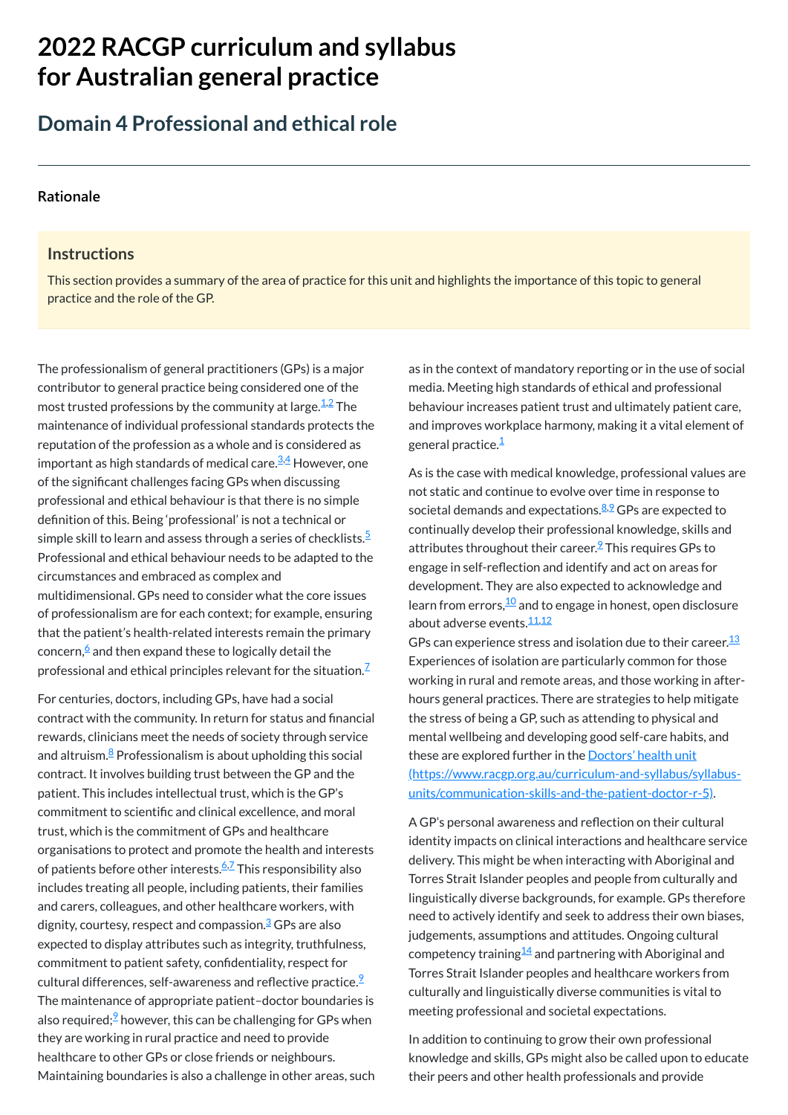# **2022 RACGP curriculum and syllabus for Australian [general practice](https://www.racgp.org.au/Curriculum-and-Syllabus/home)**

## **Domain 4 Professional and ethical role**

#### **[Rationale](javascript:void(0))**

#### **Instructions**

The professionalism of general practitioners (GPs) is a major contributor to general practice being considered one of the most trusted professions by the community at large. $^{\underline{1,2}}$  $^{\underline{1,2}}$  $^{\underline{1,2}}$  $^{\underline{1,2}}$  The maintenance of individual professional standards protects the reputation of the profession as a whole and is considered as important as high standards of medical care.<sup>[3](#page-1-2)[,4](#page-1-3)</sup> However, one of the significant challenges facing GPs when discussing professional and ethical behaviour is that there is no simple definition of this. Being 'professional' is not a technical or simple skill to learn and assess through a series of checklists. $\mathsf{\overset{5}{}$  $\mathsf{\overset{5}{}$  $\mathsf{\overset{5}{}$ Professional and ethical behaviour needs to be adapted to the circumstances and embraced as complex and multidimensional. GPs need to consider what the core issues of professionalism are for each context; for example, ensuring that the patient's health-related interests remain the primary concern, $\stackrel{\epsilon}{\ }$  and then expand these to logically detail the professional and ethical principles relevant for the situation. $^{\mathsf{Z}}$ 

This section provides a summary of the area of practice for this unit and highlights the importance of this topic to general practice and the role of the GP.

> as in the context of mandatory reporting or in the use of social media. Meeting high standards of ethical and professional behaviour increases patient trust and ultimately patient care, and improves workplace harmony, making it a vital element of general practice.<sup>[1](#page-1-0)</sup>

> As is the case with medical knowledge, professional values are not static and continue to evolve over time in response to societal demands and expectations.<sup>[8,](#page-1-7)[9](#page-1-8)</sup> GPs are expected to continually develop their professional knowledge, skills and attributes throughout their career.<sup>[9](#page-1-8)</sup> This requires GPs to engage in self-reflection and identify and act on areas for development. They are also expected to acknowledge and learn from errors, $\frac{10}{2}$  $\frac{10}{2}$  $\frac{10}{2}$  and to engage in honest, open disclosure about adverse events.<sup>[11,](#page-1-10)[12](#page-1-11)</sup>

> GPs can experience stress and isolation due to their career. $^{\underline{13}}$  $^{\underline{13}}$  $^{\underline{13}}$ Experiences of isolation are particularly common for those working in rural and remote areas, and those working in afterhours general practices. There are strategies to help mitigate the stress of being a GP, such as attending to physical and mental wellbeing and developing good self-care habits, and these are explored further in the **Doctors'** health unit [\(https://www.racgp.org.au/curriculum-and-syllabus/syllabus](https://www.racgp.org.au/curriculum-and-syllabus/syllabus-units/communication-skills-and-the-patient-doctor-r-5)units/communication-skills-and-the-patient-doctor-r-5).

For centuries, doctors, including GPs, have had a social contract with the community. In return for status and financial rewards, clinicians meet the needs of society through service and altruism.<sup>[8](#page-1-7)</sup> Professionalism is about upholding this social contract. It involves building trust between the GP and the patient. This includes intellectual trust, which is the GP's commitment to scientific and clinical excellence, and moral trust, which is the commitment of GPs and healthcare organisations to protect and promote the health and interests of patients before other interests.<sup>[6](#page-1-5)[,7](#page-1-6)</sup> This responsibility also includes treating all people, including patients, their families and carers, colleagues, and other healthcare workers, with dignity, courtesy, respect and compassion.<sup>[3](#page-1-2)</sup> GPs are also expected to display attributes such as integrity, truthfulness, commitment to patient safety, confidentiality, respect for cultural differences, self-awareness and reflective practice. $\frac{9}{2}$  $\frac{9}{2}$  $\frac{9}{2}$ The maintenance of appropriate patient–doctor boundaries is also required;<sup>2</sup> however, this can be challenging for GPs when they are working in rural practice and need to provide healthcare to other GPs or close friends or neighbours. Maintaining boundaries is also a challenge in other areas, such

A GP's personal awareness and reflection on their cultural identity impacts on clinical interactions and healthcare service delivery. This might be when interacting with Aboriginal and Torres Strait Islander peoples and people from culturally and linguistically diverse backgrounds, for example. GPs therefore need to actively identify and seek to address their own biases, judgements, assumptions and attitudes. Ongoing cultural competency training $^{\underline{14}}$  $^{\underline{14}}$  $^{\underline{14}}$  and partnering with Aboriginal and Torres Strait Islander peoples and healthcare workers from culturally and linguistically diverse communities is vital to meeting professional and societal expectations.

In addition to continuing to grow their own professional knowledge and skills, GPs might also be called upon to educate their peers and other health professionals and provide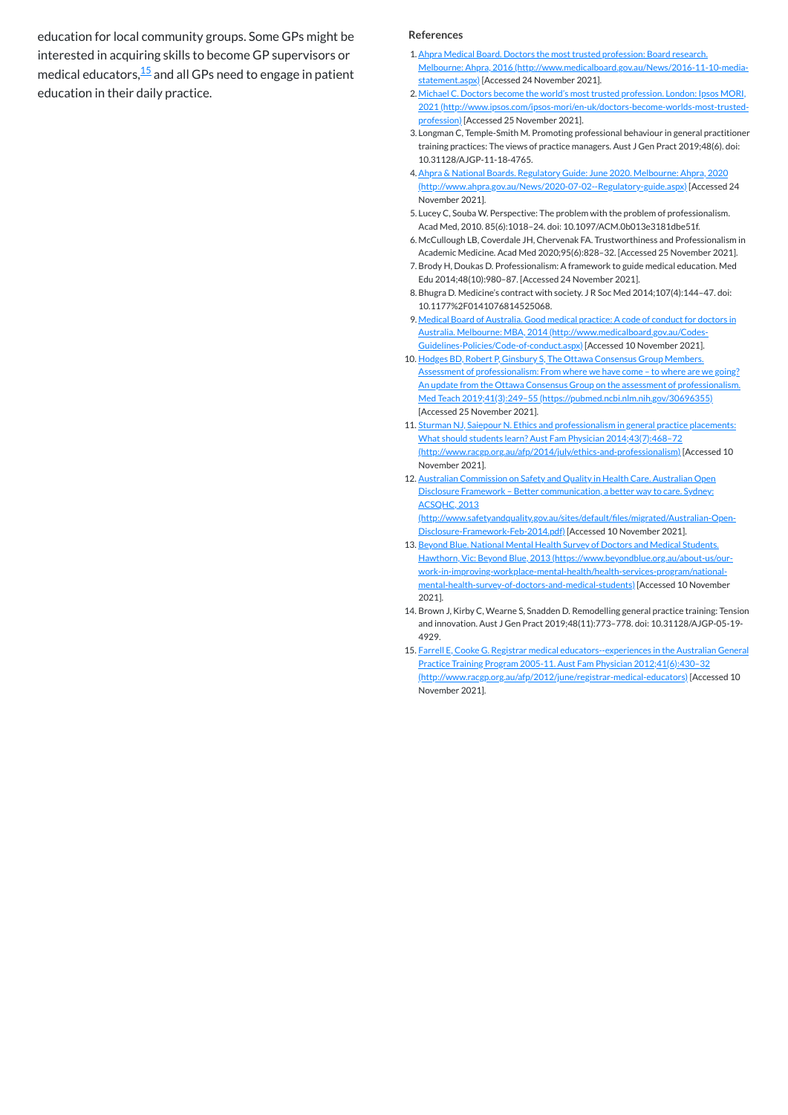education for local community groups. Some GPs might be interested in acquiring skills to become GP supervisors or medical educators, $\frac{15}{2}$  $\frac{15}{2}$  $\frac{15}{2}$  and all GPs need to engage in patient education in their daily practice.

#### **References**

- <span id="page-1-0"></span>1.Ahpra Medical Board. Doctors the most trusted profession: Board research. Melbourne: Ahpra, 2016 [\(http://www.medicalboard.gov.au/News/2016-11-10-media](http://www.medicalboard.gov.au/News/2016-11-10-media-statement.aspx)statement.aspx) [Accessed 24 November 2021].
- <span id="page-1-1"></span>2. Michael C. Doctors become the world's most trusted profession. London: Ipsos MORI, 2021 [\(http://www.ipsos.com/ipsos-mori/en-uk/doctors-become-worlds-most-trusted](http://www.ipsos.com/ipsos-mori/en-uk/doctors-become-worlds-most-trusted-profession)profession) [Accessed 25 November 2021].
- <span id="page-1-2"></span>3. Longman C, Temple-Smith M. Promoting professional behaviour in general practitioner training practices: The views of practice managers. Aust J Gen Pract 2019;48(6). doi: 10.31128/AJGP-11-18-4765.
- <span id="page-1-3"></span>4.Ahpra & National Boards. Regulatory Guide: June 2020. Melbourne: Ahpra, 2020 [\(http://www.ahpra.gov.au/News/2020-07-02--Regulatory-guide.aspx\)](http://www.ahpra.gov.au/News/2020-07-02--Regulatory-guide.aspx) [Accessed 24 November 2021].
- <span id="page-1-4"></span>5. Lucey C, Souba W. Perspective: The problem with the problem of professionalism. Acad Med, 2010. 85(6):1018–24. doi: 10.1097/ACM.0b013e3181dbe51f.
- <span id="page-1-5"></span>6. McCullough LB, Coverdale JH, Chervenak FA. Trustworthiness and Professionalism in Academic Medicine. Acad Med 2020;95(6):828–32. [Accessed 25 November 2021].
- <span id="page-1-6"></span>7.Brody H, Doukas D. Professionalism: A framework to guide medical education. Med Edu 2014;48(10):980–87. [Accessed 24 November 2021].
- <span id="page-1-7"></span>8.Bhugra D. Medicine's contract with society. J R Soc Med 2014;107(4):144–47. doi: 10.1177%2F0141076814525068.
- <span id="page-1-8"></span>9. Medical Board of Australia. Good medical practice: A code of conduct for doctors in Australia. Melbourne: MBA, 2014 (http://www.medicalboard.gov.au/Codes-[Guidelines-Policies/Code-of-conduct.aspx\)](http://www.medicalboard.gov.au/Codes-Guidelines-Policies/Code-of-conduct.aspx) [Accessed 10 November 2021].
- <span id="page-1-9"></span>10. Hodges BD, Robert P, Ginsbury S, The Ottawa Consensus Group Members. Assessment of professionalism: From where we have come - to where are we going? An update from the Ottawa Consensus Group on the assessment of professionalism. Med Teach 2019;41(3):249–55 [\(https://pubmed.ncbi.nlm.nih.gov/30696355\)](https://pubmed.ncbi.nlm.nih.gov/30696355) [Accessed 25 November 2021].
- <span id="page-1-10"></span>11. Sturman NJ, Saiepour N. Ethics and professionalism in general practice placements: What should students learn? Aust Fam Physician 2014;43(7):468–72 [\(http://www.racgp.org.au/afp/2014/july/ethics-and-professionalism\)](http://www.racgp.org.au/afp/2014/july/ethics-and-professionalism) [Accessed 10 November 2021].
- <span id="page-1-11"></span>12. Australian Commission on Safety and Quality in Health Care. Australian Open Disclosure Framework – Better communication, a better way to care. Sydney: ACSQHC, 2013

- <span id="page-1-12"></span>13. Beyond Blue. National Mental Health Survey of Doctors and Medical Students. Hawthorn, Vic: Beyond Blue, 2013 (https://www.beyondblue.org.au/about-us/our[work-in-improving-workplace-mental-health/health-services-program/national](https://www.beyondblue.org.au/about-us/our-work-in-improving-workplace-mental-health/health-services-program/national-mental-health-survey-of-doctors-and-medical-students)mental-health-survey-of-doctors-and-medical-students) [Accessed 10 November 2021].
- <span id="page-1-13"></span>14. Brown J, Kirby C, Wearne S, Snadden D. Remodelling general practice training: Tension and innovation. Aust J Gen Pract 2019;48(11):773–778. doi: 10.31128/AJGP-05-19- 4929.
- <span id="page-1-14"></span>15. Farrell E, Cooke G. Registrar medical educators--experiences in the Australian General Practice Training Program 2005-11. Aust Fam Physician 2012;41(6):430–32 [\(http://www.racgp.org.au/afp/2012/june/registrar-medical-educators\)](http://www.racgp.org.au/afp/2012/june/registrar-medical-educators) [Accessed 10 November 2021].

[\(http://www.safetyandquality.gov.au/sites/default/files/migrated/Australian-Open-](http://www.safetyandquality.gov.au/sites/default/files/migrated/Australian-Open-Disclosure-Framework-Feb-2014.pdf)Disclosure-Framework-Feb-2014.pdf) [Accessed 10 November 2021].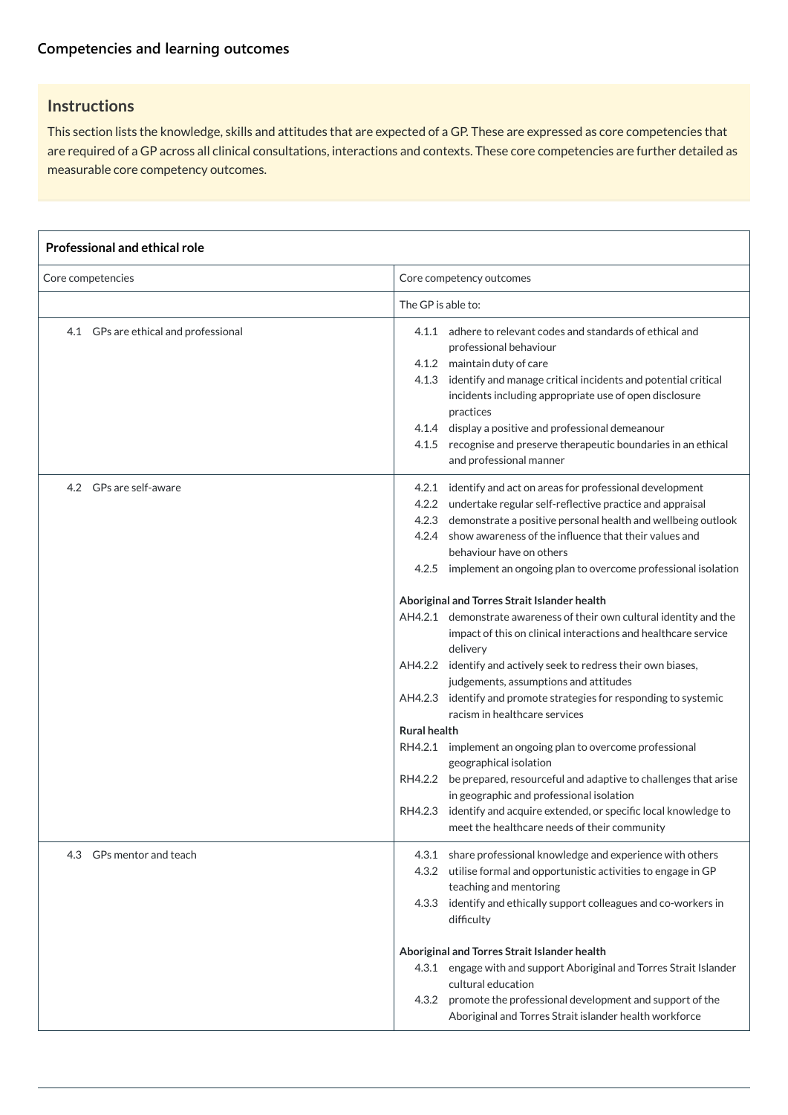## **Instructions**

This section lists the knowledge, skills and attitudes that are expected of a GP. These are expressed as core competencies that are required of a GP across all clinical consultations, interactions and contexts. These core competencies are further detailed as measurable core competency outcomes.

#### **Professional and ethical role**

| Core competencies                    | Core competency outcomes                                                                                                                                                                                                                                                                                                                                                                                                             |  |
|--------------------------------------|--------------------------------------------------------------------------------------------------------------------------------------------------------------------------------------------------------------------------------------------------------------------------------------------------------------------------------------------------------------------------------------------------------------------------------------|--|
|                                      | The GP is able to:                                                                                                                                                                                                                                                                                                                                                                                                                   |  |
| 4.1 GPs are ethical and professional | adhere to relevant codes and standards of ethical and<br>4.1.1<br>professional behaviour<br>4.1.2 maintain duty of care<br>identify and manage critical incidents and potential critical<br>4.1.3<br>incidents including appropriate use of open disclosure<br>practices<br>4.1.4 display a positive and professional demeanour<br>recognise and preserve therapeutic boundaries in an ethical<br>4.1.5<br>and professional manner   |  |
| GPs are self-aware<br>4.2            | identify and act on areas for professional development<br>4.2.1<br>undertake regular self-reflective practice and appraisal<br>4.2.2<br>demonstrate a positive personal health and wellbeing outlook<br>4.2.3<br>show awareness of the influence that their values and<br>4.2.4<br>behaviour have on others<br>implement an ongoing plan to overcome professional isolation<br>4.2.5<br>Aboriginal and Torres Strait Islander health |  |
|                                      | AH4.2.1 demonstrate awareness of their own cultural identity and the<br>impact of this on clinical interactions and healthcare service<br>delivery                                                                                                                                                                                                                                                                                   |  |
|                                      | identify and actively seek to redress their own biases,<br>AH4.2.2<br>judgements, assumptions and attitudes<br>identify and promote strategies for responding to systemic<br>AH4.2.3                                                                                                                                                                                                                                                 |  |
|                                      | racism in healthcare services                                                                                                                                                                                                                                                                                                                                                                                                        |  |
|                                      | <b>Rural health</b>                                                                                                                                                                                                                                                                                                                                                                                                                  |  |
|                                      | RH4.2.1<br>implement an ongoing plan to overcome professional<br>geographical isolation                                                                                                                                                                                                                                                                                                                                              |  |
|                                      | be prepared, resourceful and adaptive to challenges that arise<br>RH4.2.2<br>in geographic and professional isolation                                                                                                                                                                                                                                                                                                                |  |
|                                      | identify and acquire extended, or specific local knowledge to<br>RH4.2.3<br>meet the healthcare needs of their community                                                                                                                                                                                                                                                                                                             |  |

| GPs mentor and teach<br>4.3 | 4.3.1 share professional knowledge and experience with others<br>4.3.2 utilise formal and opportunistic activities to engage in GP<br>teaching and mentoring<br>4.3.3 identify and ethically support colleagues and co-workers in<br>difficulty |  |  |
|-----------------------------|-------------------------------------------------------------------------------------------------------------------------------------------------------------------------------------------------------------------------------------------------|--|--|
|                             | Aboriginal and Torres Strait Islander health                                                                                                                                                                                                    |  |  |
|                             | 4.3.1 engage with and support Aboriginal and Torres Strait Islander                                                                                                                                                                             |  |  |
|                             | cultural education                                                                                                                                                                                                                              |  |  |
|                             | promote the professional development and support of the<br>4.3.2                                                                                                                                                                                |  |  |
|                             | Aboriginal and Torres Strait islander health workforce                                                                                                                                                                                          |  |  |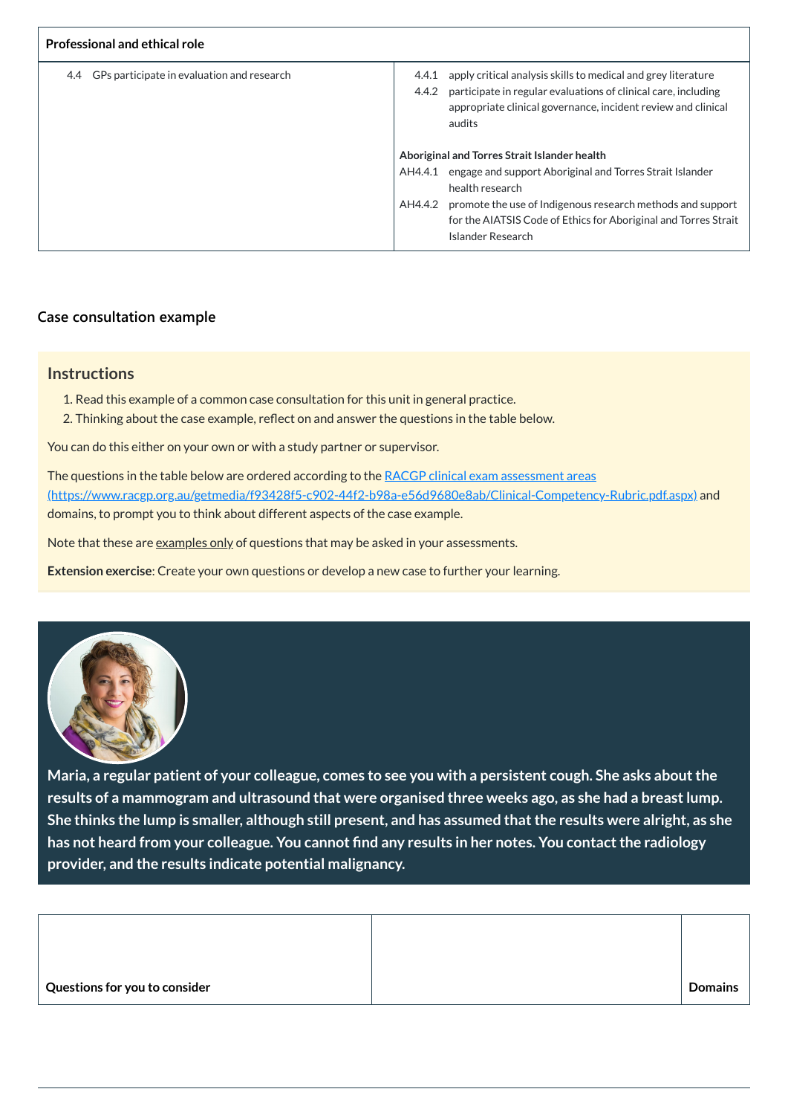| <b>Professional and ethical role</b>              |                                                                                                                                                                                                                              |
|---------------------------------------------------|------------------------------------------------------------------------------------------------------------------------------------------------------------------------------------------------------------------------------|
| GPs participate in evaluation and research<br>4.4 | apply critical analysis skills to medical and grey literature<br>4.4.1<br>participate in regular evaluations of clinical care, including<br>4.4.2<br>appropriate clinical governance, incident review and clinical<br>audits |
|                                                   | Aboriginal and Torres Strait Islander health                                                                                                                                                                                 |
|                                                   | engage and support Aboriginal and Torres Strait Islander<br>AH4.4.1<br>health research                                                                                                                                       |
|                                                   | promote the use of Indigenous research methods and support<br>AH4.4.2<br>for the AIATSIS Code of Ethics for Aboriginal and Torres Strait<br>Islander Research                                                                |

The questions in the table below are ordered according to the RACGP clinical exam assessment areas [\(https://www.racgp.org.au/getmedia/f93428f5-c902-44f2-b98a-e56d9680e8ab/Clinical-Competency-Rubric.pdf.aspx\)](https://www.racgp.org.au/getmedia/f93428f5-c902-44f2-b98a-e56d9680e8ab/Clinical-Competency-Rubric.pdf.aspx) and domains, to prompt you to think about different aspects of the case example.

Note that these are examples only of questions that may be asked in your assessments.

## **[Case consultation example](javascript:void(0))**

#### **Instructions**

- 1. Read this example of a common case consultation for this unit in general practice.
- 2. Thinking about the case example, reflect on and answer the questions in the table below.

You can do this either on your own or with a study partner or supervisor.

**Extension exercise**: Create your own questions or develop a new case to further your learning.



**Maria, a regular patient of your colleague, comes to see you with a persistent cough. She asks aboutthe results of a mammogram and ultrasound that were organised three weeks ago, as she had a breastlump.** She thinks the lump is smaller, although still present, and has assumed that the results were alright, as she **has not heard from your colleague. You cannot find any results in her notes. You contactthe radiology provider, and the results indicate potential malignancy.**

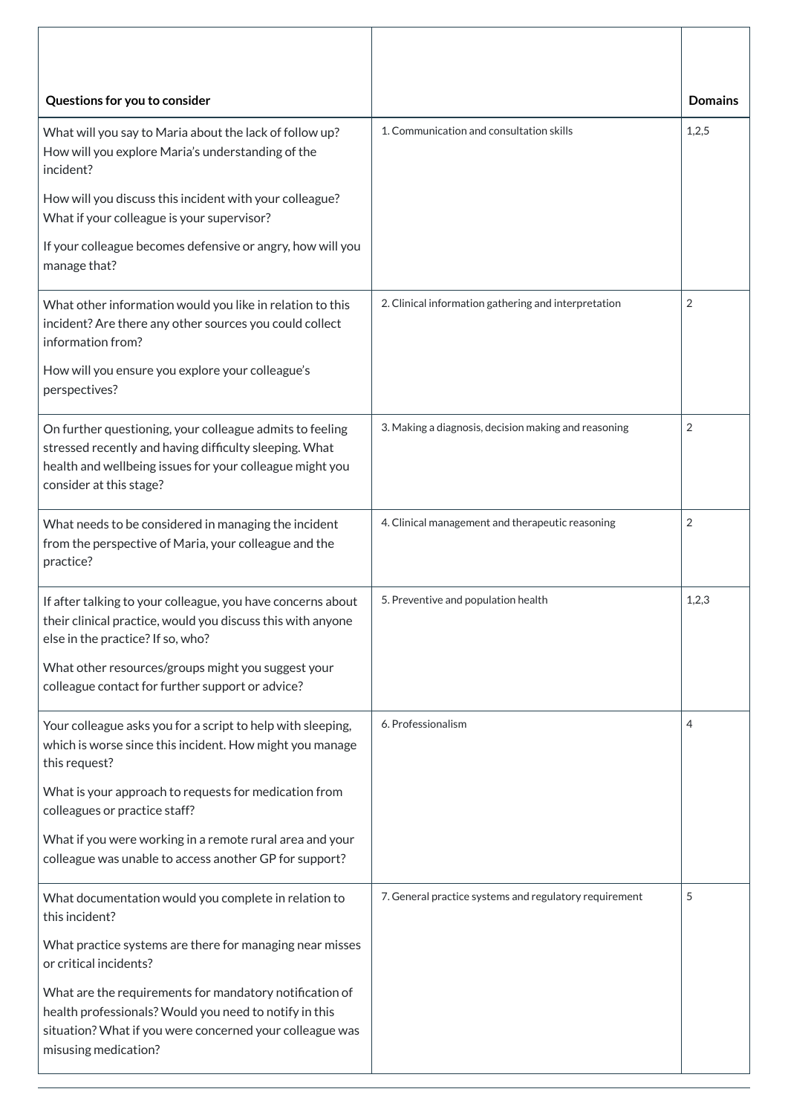| Questions for you to consider                                                                                                                                                                             |                                                        | <b>Domains</b> |
|-----------------------------------------------------------------------------------------------------------------------------------------------------------------------------------------------------------|--------------------------------------------------------|----------------|
| What will you say to Maria about the lack of follow up?<br>How will you explore Maria's understanding of the<br>incident?                                                                                 | 1. Communication and consultation skills               | 1,2,5          |
| How will you discuss this incident with your colleague?<br>What if your colleague is your supervisor?                                                                                                     |                                                        |                |
| If your colleague becomes defensive or angry, how will you<br>manage that?                                                                                                                                |                                                        |                |
| What other information would you like in relation to this<br>incident? Are there any other sources you could collect<br>information from?                                                                 | 2. Clinical information gathering and interpretation   | $\overline{2}$ |
| How will you ensure you explore your colleague's<br>perspectives?                                                                                                                                         |                                                        |                |
| On further questioning, your colleague admits to feeling<br>stressed recently and having difficulty sleeping. What<br>health and wellbeing issues for your colleague might you<br>consider at this stage? | 3. Making a diagnosis, decision making and reasoning   | $\overline{2}$ |
| What needs to be considered in managing the incident<br>from the perspective of Maria, your colleague and the<br>practice?                                                                                | 4. Clinical management and therapeutic reasoning       | $\overline{2}$ |
| If after talking to your colleague, you have concerns about<br>their clinical practice, would you discuss this with anyone<br>else in the practice? If so, who?                                           | 5. Preventive and population health                    | 1,2,3          |
| What other resources/groups might you suggest your<br>colleague contact for further support or advice?                                                                                                    |                                                        |                |
| Your colleague asks you for a script to help with sleeping,<br>which is worse since this incident. How might you manage<br>this request?                                                                  | 6. Professionalism                                     | 4              |
| What is your approach to requests for medication from<br>colleagues or practice staff?                                                                                                                    |                                                        |                |
| What if you were working in a remote rural area and your<br>colleague was unable to access another GP for support?                                                                                        |                                                        |                |
| What documentation would you complete in relation to<br>this incident?                                                                                                                                    | 7. General practice systems and regulatory requirement | 5              |
| What practice systems are there for managing near misses<br>or critical incidents?                                                                                                                        |                                                        |                |
| What are the requirements for mandatory notification of<br>health professionals? Would you need to notify in this<br>situation? What if you were concerned your colleague was<br>misusing medication?     |                                                        |                |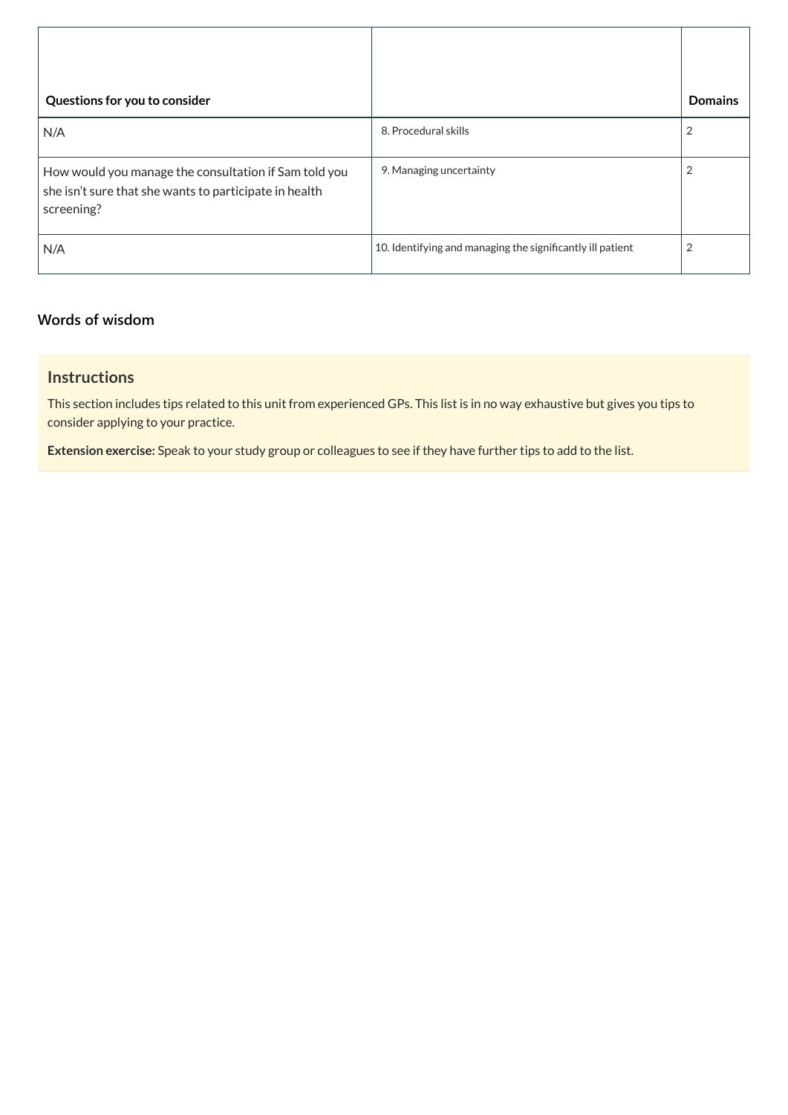| Questions for you to consider                                                                                                 |                                                            | <b>Domains</b> |
|-------------------------------------------------------------------------------------------------------------------------------|------------------------------------------------------------|----------------|
| N/A                                                                                                                           | 8. Procedural skills                                       |                |
| How would you manage the consultation if Sam told you<br>she isn't sure that she wants to participate in health<br>screening? | 9. Managing uncertainty                                    |                |
| N/A                                                                                                                           | 10. Identifying and managing the significantly ill patient | $\overline{2}$ |

## **[Words of wisdom](javascript:void(0))**

## **Instructions**

This section includes tips related to this unit from experienced GPs. This list is in no way exhaustive but gives you tips to consider applying to your practice.

**Extension exercise:** Speak to your study group or colleagues to see if they have further tips to add to the list.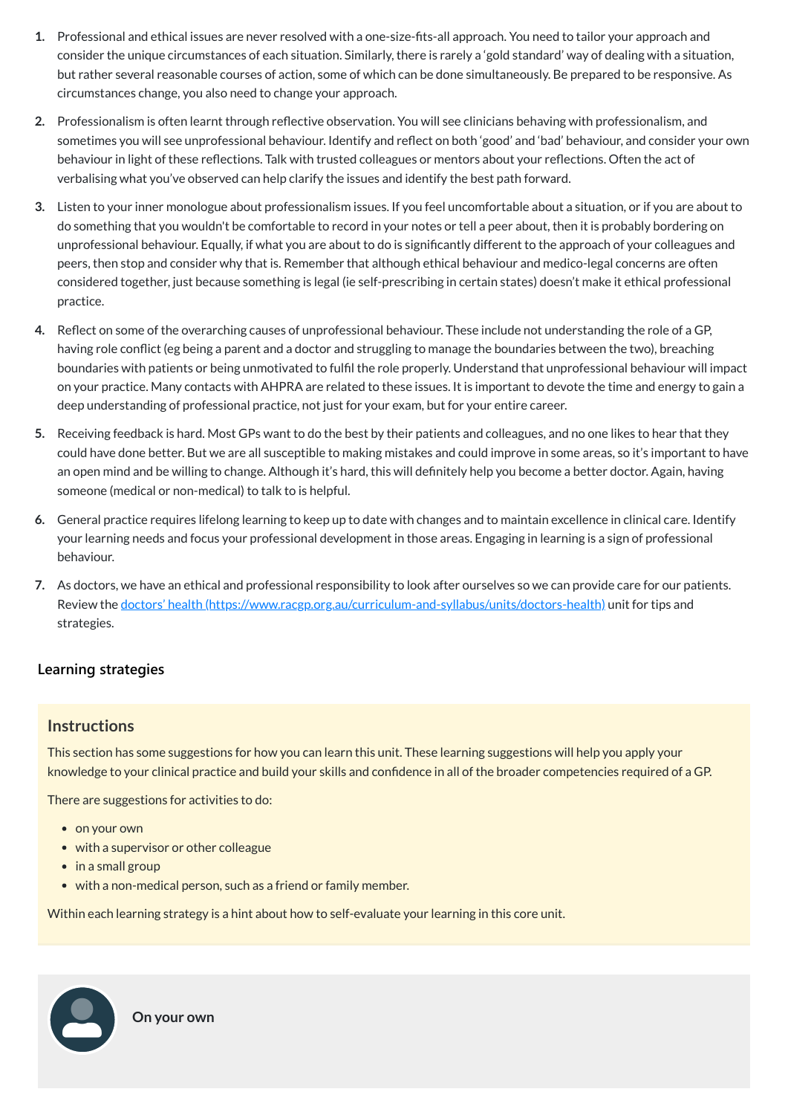- **1.** Professional and ethical issues are never resolved with a one-size-fits-all approach. You need to tailor your approach and consider the unique circumstances of each situation. Similarly, there is rarely a 'gold standard' way of dealing with a situation, but rather several reasonable courses of action, some of which can be done simultaneously. Be prepared to be responsive. As circumstances change, you also need to change your approach.
- **2.** Professionalism is often learnt through reflective observation. You will see clinicians behaving with professionalism, and sometimes you will see unprofessional behaviour. Identify and reflect on both 'good' and 'bad' behaviour, and consider your own behaviour in light of these reflections. Talk with trusted colleagues or mentors about your reflections. Often the act of verbalising what you've observed can help clarify the issues and identify the best path forward.
- **3.** Listen to your inner monologue about professionalism issues. If you feel uncomfortable about a situation, or if you are about to do something that you wouldn't be comfortable to record in your notes or tell a peer about, then it is probably bordering on unprofessional behaviour. Equally, if what you are about to do is significantly different to the approach of your colleagues and peers, then stop and consider why that is. Remember that although ethical behaviour and medico-legal concerns are often considered together, just because something is legal (ie self-prescribing in certain states) doesn't make it ethical professional practice.
- **4.** Reflect on some of the overarching causes of unprofessional behaviour. These include not understanding the role of a GP, having role conflict (eg being a parent and a doctor and struggling to manage the boundaries between the two), breaching boundaries with patients or being unmotivated to fulfil the role properly. Understand that unprofessional behaviour will impact on your practice. Many contacts with AHPRA are related to these issues. It is important to devote the time and energy to gain a deep understanding of professional practice, not just for your exam, but for your entire career.
- **5.** Receiving feedback is hard. Most GPs want to do the best by their patients and colleagues, and no one likes to hear that they could have done better. But we are all susceptible to making mistakes and could improve in some areas, so it's important to have an open mind and be willing to change. Although it's hard, this will definitely help you become a better doctor. Again, having someone (medical or non-medical) to talk to is helpful.
- **6.** General practice requires lifelong learning to keep up to date with changes and to maintain excellence in clinical care. Identify your learning needs and focus your professional development in those areas. Engaging in learning is a sign of professional behaviour.
- **7.** As doctors, we have an ethical and professional responsibility to look after ourselves so we can provide care for our patients. Review the doctors' health [\(https://www.racgp.org.au/curriculum-and-syllabus/units/doctors-health\)](https://www.racgp.org.au/curriculum-and-syllabus/units/doctors-health) unit for tips and strategies.

#### **[Learning strategies](javascript:void(0))**

#### **Instructions**

This section has some suggestions for how you can learn this unit. These learning suggestions will help you apply your knowledge to your clinical practice and build your skills and confidence in all of the broader competencies required of a GP.

There are suggestions for activities to do:

- on your own
- with a supervisor or other colleague
- in a small group
- with a non-medical person, such as a friend or family member.

Within each learning strategy is a hint about how to self-evaluate your learning in this core unit.



**On your own**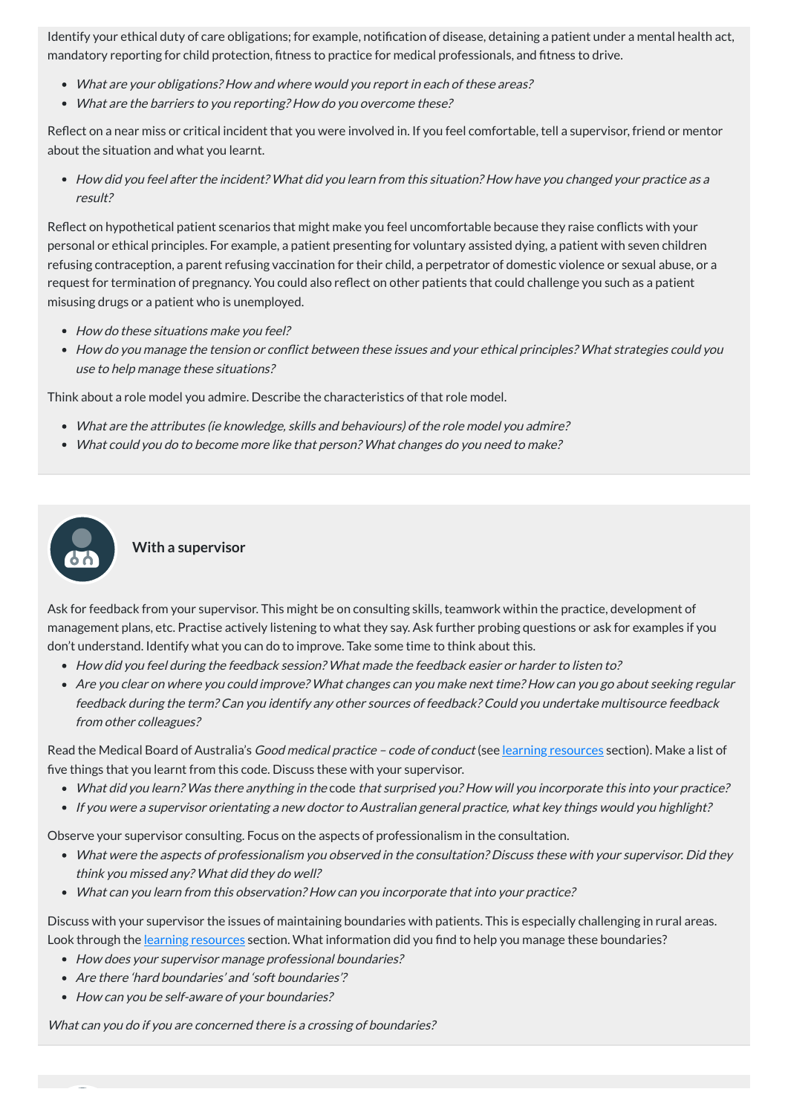Identify your ethical duty of care obligations; for example, notification of disease, detaining a patient under a mental health act, mandatory reporting for child protection, fitness to practice for medical professionals, and fitness to drive.

- What are your obligations? How and where would you report in each of these areas?
- What are the barriers to you reporting? How do you overcome these?

Reflect on a near miss or critical incident that you were involved in. If you feel comfortable, tell a supervisor, friend or mentor about the situation and what you learnt.

How did you feel after the incident? What did you learn from this situation? How have you changed your practice as <sup>a</sup> result?

- How do these situations make you feel?
- How do you manage the tension or conflict between these issues and your ethical principles? What strategies could you use to help manage these situations?

- What are the attributes (ie knowledge, skills and behaviours) of the role model you admire?
- What could you do to become more like that person? What changes do you need to make?



Reflect on hypothetical patient scenarios that might make you feel uncomfortable because they raise conflicts with your personal or ethical principles. For example, a patient presenting for voluntary assisted dying, a patient with seven children refusing contraception, a parent refusing vaccination for their child, a perpetrator of domestic violence or sexual abuse, or a request for termination of pregnancy. You could also reflect on other patients that could challenge you such as a patient misusing drugs or a patient who is unemployed.

Read the Medical Board of Australia's Good medical practice - code of conduct (see learning [resources](#page-10-0) section). Make a list of five things that you learnt from this code. Discuss these with your supervisor.

Think about a role model you admire. Describe the characteristics of that role model.

Discuss with your supervisor the issues of maintaining boundaries with patients. This is especially challenging in rural areas. Look through the **learning [resources](#page-10-0)** section. What information did you find to help you manage these boundaries?

- How does your supervisor manage professional boundaries?
- Are there 'hard boundaries' and 'soft boundaries'?
- How can you be self-aware of your boundaries?

#### **With a supervisor**

Ask for feedback from your supervisor. This might be on consulting skills, teamwork within the practice, development of management plans, etc. Practise actively listening to what they say. Ask further probing questions or ask for examples if you don't understand. Identify what you can do to improve. Take some time to think about this.

- How did you feel during the feedback session? What made the feedback easier or harder to listen to?
- Are you clear on where you could improve? What changes can you make next time? How can you go about seeking regular feedback during the term? Can you identify any other sources of feedback? Could you undertake multisource feedback from other colleagues?

- What did you learn? Was there anything in the code that surprised you? How will you incorporate this into your practice?
- If you were <sup>a</sup> supervisor orientating <sup>a</sup> new doctor to Australian general practice, what key things would you highlight?

Observe your supervisor consulting. Focus on the aspects of professionalism in the consultation.

- 
- What were the aspects of professionalism you observed in the consultation? Discuss these with your supervisor. Did they think you missed any? What did they do well?
- What can you learn from this observation? How can you incorporate that into your practice?

What can you do if you are concerned there is <sup>a</sup> crossing of boundaries?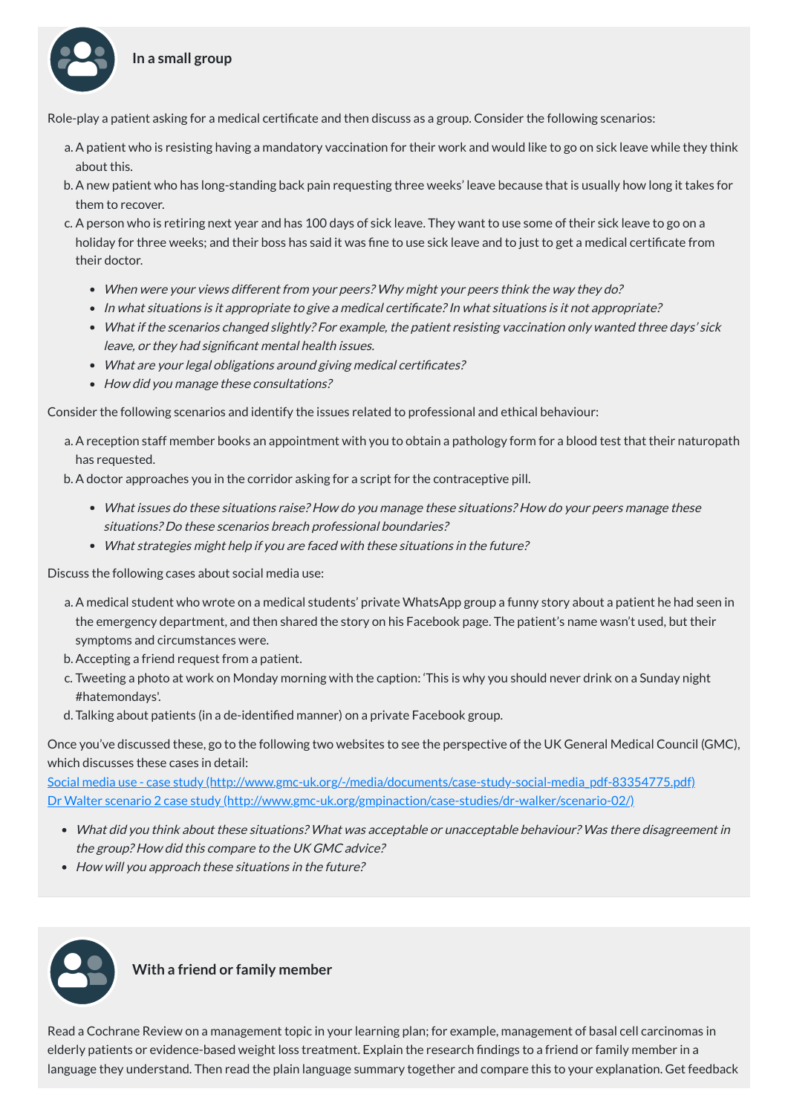## **In a small group**

- a. A patient who is resisting having a mandatory vaccination for their work and would like to go on sick leave while they think about this.
- b. A new patient who has long-standing back pain requesting three weeks' leave because that is usually how long it takes for them to recover.
- c. A person who is retiring next year and has 100 days of sick leave. They want to use some of their sick leave to go on a holiday for three weeks; and their boss has said it was fine to use sick leave and to just to get a medical certificate from their doctor.
	- When were your views different from your peers? Why might your peers think the way they do?
	- In what situations is it appropriate to give a medical certificate? In what situations is it not appropriate?
	- What if the scenarios changed slightly? For example, the patient resisting vaccination only wanted three days' sick leave, or they had significant mental health issues.
	- What are your legal obligations around giving medical certificates?
	- How did you manage these consultations?

Role-play a patient asking for a medical certificate and then discuss as a group. Consider the following scenarios:

Consider the following scenarios and identify the issues related to professional and ethical behaviour:

Social media use - case study [\(http://www.gmc-uk.org/-/media/documents/case-study-social-media\\_pdf-83354775.pdf\)](http://www.gmc-uk.org/-/media/documents/case-study-social-media_pdf-83354775.pdf) Dr Walter scenario 2 case study [\(http://www.gmc-uk.org/gmpinaction/case-studies/dr-walker/scenario-02/\)](http://www.gmc-uk.org/gmpinaction/case-studies/dr-walker/scenario-02/)

- a. A reception staff member books an appointment with you to obtain a pathology form for a blood test that their naturopath has requested.
- b. A doctor approaches you in the corridor asking for a script for the contraceptive pill.
	- What issues do these situations raise? How do you manage these situations? How do your peers manage these situations? Do these scenarios breach professional boundaries?
	- What strategies might help if you are faced with these situations in the future?

Discuss the following cases about social media use:

- a. A medical student who wrote on a medical students' private WhatsApp group a funny story about a patient he had seen in the emergency department, and then shared the story on his Facebook page. The patient's name wasn't used, but their symptoms and circumstances were.
- b. Accepting a friend request from a patient.
- c. Tweeting a photo at work on Monday morning with the caption: 'This is why you should never drink on a Sunday night #hatemondays'.
- d. Talking about patients (in a de-identified manner) on a private Facebook group.

Once you've discussed these, go to the following two websites to see the perspective of the UK General Medical Council (GMC), which discusses these cases in detail:

What did you think about these situations? What was acceptable or unacceptable behaviour? Was there disagreement in

the group? How did this compare to the UK GMC advice?

• How will you approach these situations in the future?



Read a Cochrane Review on a management topic in your learning plan; for example, management of basal cell carcinomas in elderly patients or evidence-based weight loss treatment. Explain the research findings to a friend or family member in a language they understand. Then read the plain language summary together and compare this to your explanation. Get feedback

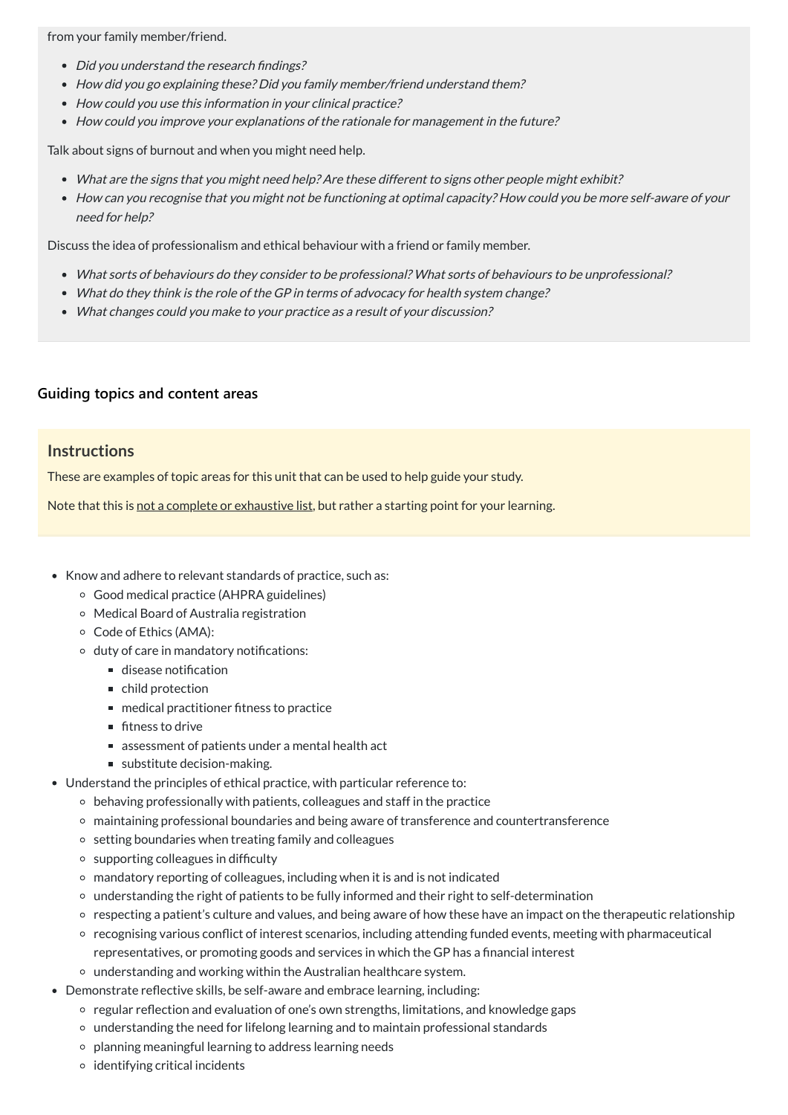from your family member/friend.

- Did you understand the research findings?
- How did you go explaining these? Did you family member/friend understand them?
- How could you use this information in your clinical practice?
- How could you improve your explanations of the rationale for management in the future?

Talk about signs of burnout and when you might need help.

- What are the signs that you might need help? Are these different to signs other people might exhibit?
- How can you recognise that you might not be functioning at optimal capacity? How could you be more self-aware of your need for help?

Discuss the idea of professionalism and ethical behaviour with a friend or family member.

- What sorts of behaviours do they consider to be professional? What sorts of behaviours to be unprofessional?
- What do they think is the role of the GP in terms of advocacy for health system change?
- What changes could you make to your practice as <sup>a</sup> result of your discussion?

### **[Guiding topics and content areas](javascript:void(0))**

#### **Instructions**

These are examples of topic areas for this unit that can be used to help guide your study.

Note that this is not a complete or exhaustive list, but rather a starting point for your learning.

- Know and adhere to relevant standards of practice, such as:
	- Good medical practice (AHPRA guidelines)
	- Medical Board of Australia registration
	- Code of Ethics (AMA):
	- duty of care in mandatory notifications:
		- $\blacksquare$  disease notification
		- child protection
		- medical practitioner fitness to practice
		- $\blacksquare$  fitness to drive
		- assessment of patients under a mental health act
		- substitute decision-making.
- Understand the principles of ethical practice, with particular reference to:
	- $\circ$  behaving professionally with patients, colleagues and staff in the practice
	- maintaining professional boundaries and being aware of transference and countertransference
	- $\circ$  setting boundaries when treating family and colleagues
	-
	- $\circ$  supporting colleagues in difficulty
	- mandatory reporting of colleagues, including when it is and is not indicated
	- understanding the right of patients to be fully informed and their right to self-determination
	- respecting a patient's culture and values, and being aware of how these have an impact on the therapeutic relationship
	- recognising various conflict of interest scenarios, including attending funded events, meeting with pharmaceutical representatives, or promoting goods and services in which the GP has a financial interest
	- understanding and working within the Australian healthcare system.
- Demonstrate reflective skills, be self-aware and embrace learning, including:
	- regular reflection and evaluation of one's own strengths, limitations, and knowledge gaps
	- understanding the need for lifelong learning and to maintain professional standards
	- planning meaningful learning to address learning needs
	- $\circ$  identifying critical incidents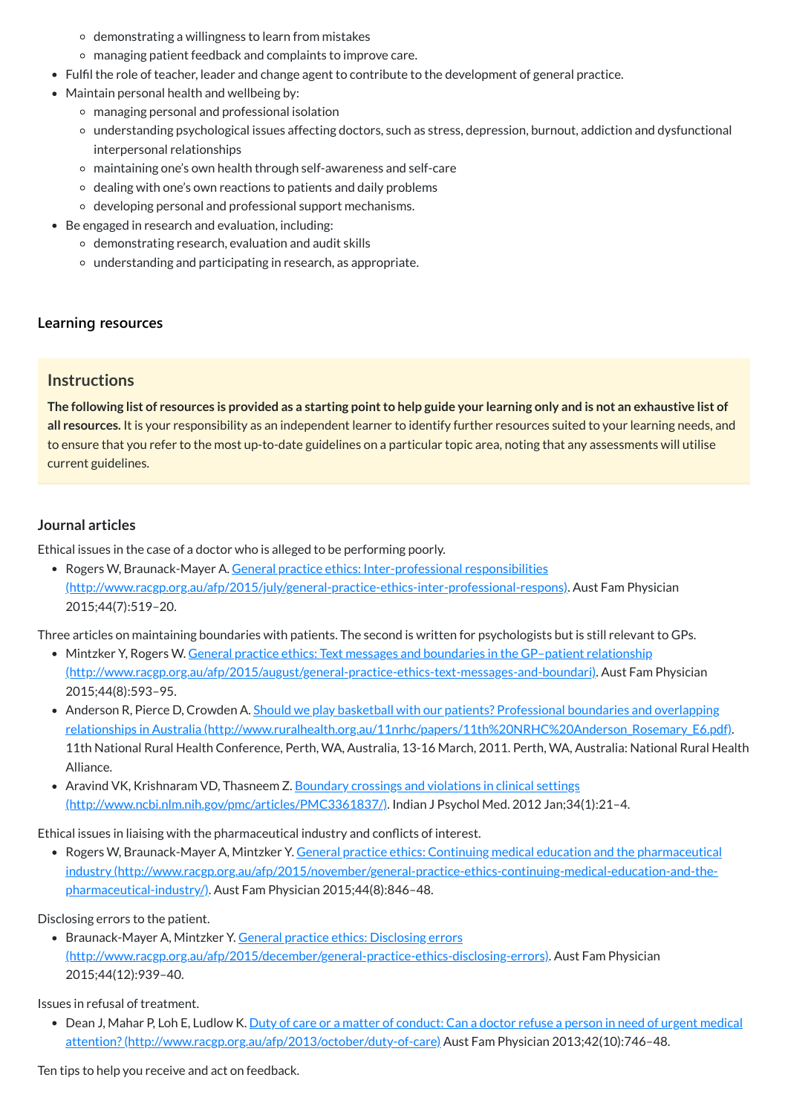- $\circ$  demonstrating a willingness to learn from mistakes
- managing patient feedback and complaints to improve care.
- Fulfil the role of teacher, leader and change agent to contribute to the development of general practice.
- Maintain personal health and wellbeing by:
	- managing personal and professional isolation
	- understanding psychological issues affecting doctors, such as stress, depression, burnout, addiction and dysfunctional interpersonal relationships
	- maintaining one's own health through self-awareness and self-care
	- $\circ$  dealing with one's own reactions to patients and daily problems
	- developing personal and professional support mechanisms.
- Be engaged in research and evaluation, including:
	- $\circ$  demonstrating research, evaluation and audit skills
	- understanding and participating in research, as appropriate.

The following list of resources is provided as a starting point to help guide your learning only and is not an exhaustive list of **all resources.** It is your responsibility as an independent learner to identify further resources suited to your learning needs, and to ensure that you refer to the most up-to-date guidelines on a particular topic area, noting that any assessments will utilise current guidelines.

• Rogers W, Braunack-Mayer A. General practice ethics: Inter-professional responsibilities [\(http://www.racgp.org.au/afp/2015/july/general-practice-ethics-inter-professional-respons\).](http://www.racgp.org.au/afp/2015/july/general-practice-ethics-inter-professional-respons) Aust Fam Physician 2015;44(7):519–20.

#### **[Learning resources](javascript:void(0))**

#### **Instructions**

- Mintzker Y, Rogers W. General practice ethics: Text messages and boundaries in the GP-patient relationship [\(http://www.racgp.org.au/afp/2015/august/general-practice-ethics-text-messages-and-boundari\).](http://www.racgp.org.au/afp/2015/august/general-practice-ethics-text-messages-and-boundari) Aust Fam Physician 2015;44(8):593–95.
- Anderson R, Pierce D, Crowden A. Should we play basketball with our patients? Professional boundaries and overlapping relationships in Australia [\(http://www.ruralhealth.org.au/11nrhc/papers/11th%20NRHC%20Anderson\\_Rosemary\\_E6.pdf\).](http://www.ruralhealth.org.au/11nrhc/papers/11th%20NRHC%20Anderson_Rosemary_E6.pdf) 11th National Rural Health Conference, Perth, WA, Australia, 13-16 March, 2011. Perth, WA, Australia: National Rural Health Alliance.
- Aravind VK, Krishnaram VD, Thasneem Z. Boundary crossings and violations in clinical settings [\(http://www.ncbi.nlm.nih.gov/pmc/articles/PMC3361837/\).](http://www.ncbi.nlm.nih.gov/pmc/articles/PMC3361837/) Indian J Psychol Med. 2012 Jan;34(1):21–4.

#### <span id="page-10-0"></span>**Journal articles**

Ethical issues in the case of a doctor who is alleged to be performing poorly.

Three articles on maintaining boundaries with patients. The second is written for psychologists but is still relevant to GPs.

Ethical issues in liaising with the pharmaceutical industry and conflicts of interest.

Rogers W, Braunack-Mayer A, Mintzker Y. General practice ethics: Continuing medical education and the pharmaceutical industry [\(http://www.racgp.org.au/afp/2015/november/general-practice-ethics-continuing-medical-education-and-the](http://www.racgp.org.au/afp/2015/november/general-practice-ethics-continuing-medical-education-and-the-pharmaceutical-industry/)pharmaceutical-industry/). Aust Fam Physician 2015;44(8):846–48.

Disclosing errors to the patient.

• Braunack-Mayer A, Mintzker Y. General practice ethics: Disclosing errors

[\(http://www.racgp.org.au/afp/2015/december/general-practice-ethics-disclosing-errors\)](http://www.racgp.org.au/afp/2015/december/general-practice-ethics-disclosing-errors). Aust Fam Physician 2015;44(12):939–40.

Issues in refusal of treatment.

• Dean J, Mahar P, Loh E, Ludlow K. Duty of care or a matter of conduct: Can a doctor refuse a person in need of urgent medical attention? (http://www.racgp.org.au/afp/2013/october/duty-of-care) Aust Fam Physician 2013;42(10):746-48.

Ten tips to help you receive and act on feedback.